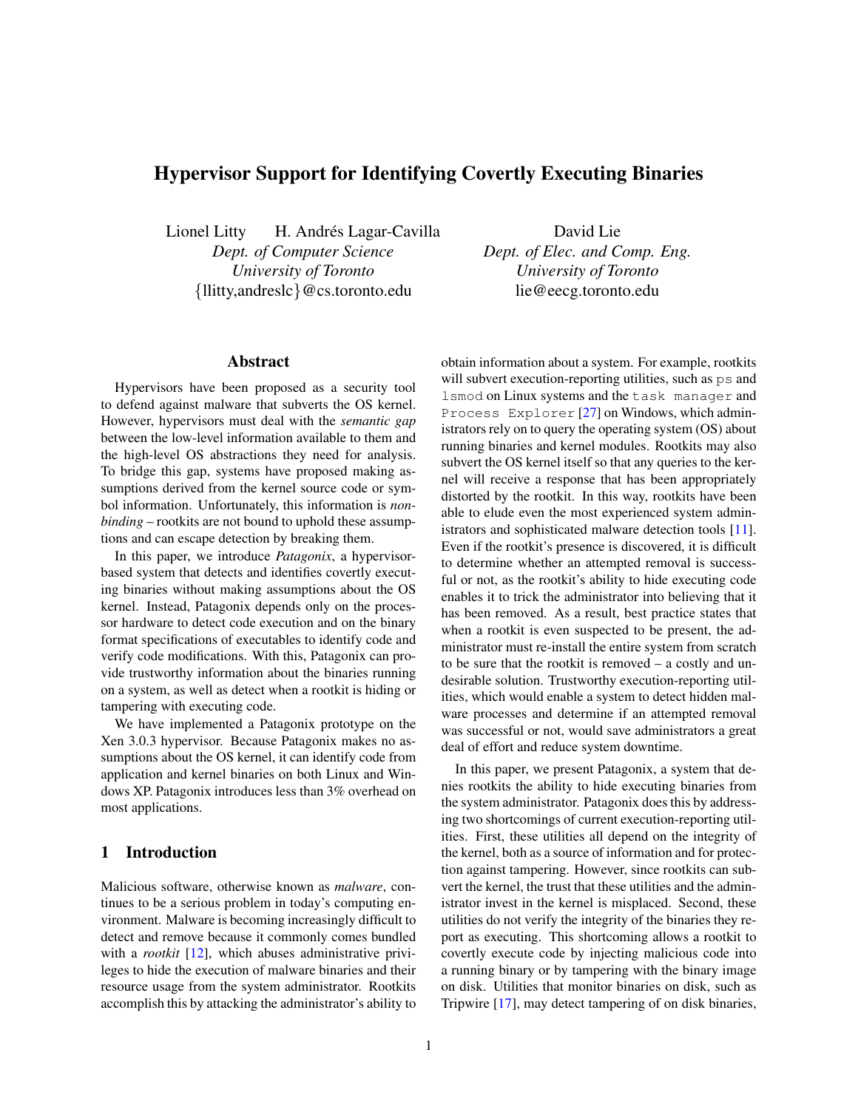# <span id="page-0-0"></span>Hypervisor Support for Identifying Covertly Executing Binaries

Lionel Litty H. Andrés Lagar-Cavilla *Dept. of Computer Science University of Toronto* {llitty,andreslc}@cs.toronto.edu

## Abstract

Hypervisors have been proposed as a security tool to defend against malware that subverts the OS kernel. However, hypervisors must deal with the *semantic gap* between the low-level information available to them and the high-level OS abstractions they need for analysis. To bridge this gap, systems have proposed making assumptions derived from the kernel source code or symbol information. Unfortunately, this information is *nonbinding* – rootkits are not bound to uphold these assumptions and can escape detection by breaking them.

In this paper, we introduce *Patagonix*, a hypervisorbased system that detects and identifies covertly executing binaries without making assumptions about the OS kernel. Instead, Patagonix depends only on the processor hardware to detect code execution and on the binary format specifications of executables to identify code and verify code modifications. With this, Patagonix can provide trustworthy information about the binaries running on a system, as well as detect when a rootkit is hiding or tampering with executing code.

We have implemented a Patagonix prototype on the Xen 3.0.3 hypervisor. Because Patagonix makes no assumptions about the OS kernel, it can identify code from application and kernel binaries on both Linux and Windows XP. Patagonix introduces less than 3% overhead on most applications.

#### 1 Introduction

Malicious software, otherwise known as *malware*, continues to be a serious problem in today's computing environment. Malware is becoming increasingly difficult to detect and remove because it commonly comes bundled with a *rootkit* [12], which abuses administrative privileges to hide the execution of malware binaries and their resource usage from the system administrator. Rootkits accomplish this by attacking the administrator's ability to

David Lie *Dept. of Elec. and Comp. Eng. University of Toronto* lie@eecg.toronto.edu

obtain information about a system. For example, rootkits will subvert execution-reporting utilities, such as ps and lsmod on Linux systems and the task manager and Process Explorer [27] on Windows, which administrators rely on to query the operating system (OS) about running binaries and kernel modules. Rootkits may also subvert the OS kernel itself so that any queries to the kernel will receive a response that has been appropriately distorted by the rootkit. In this way, rootkits have been able to elude even the most experienced system administrators and sophisticated malware detection tools [11]. Even if the rootkit's presence is discovered, it is difficult to determine whether an attempted removal is successful or not, as the rootkit's ability to hide executing code enables it to trick the administrator into believing that it has been removed. As a result, best practice states that when a rootkit is even suspected to be present, the administrator must re-install the entire system from scratch to be sure that the rootkit is removed – a costly and undesirable solution. Trustworthy execution-reporting utilities, which would enable a system to detect hidden malware processes and determine if an attempted removal was successful or not, would save administrators a great deal of effort and reduce system downtime.

In this paper, we present Patagonix, a system that denies rootkits the ability to hide executing binaries from the system administrator. Patagonix does this by addressing two shortcomings of current execution-reporting utilities. First, these utilities all depend on the integrity of the kernel, both as a source of information and for protection against tampering. However, since rootkits can subvert the kernel, the trust that these utilities and the administrator invest in the kernel is misplaced. Second, these utilities do not verify the integrity of the binaries they report as executing. This shortcoming allows a rootkit to covertly execute code by injecting malicious code into a running binary or by tampering with the binary image on disk. Utilities that monitor binaries on disk, such as Tripwire [17], may detect tampering of on disk binaries,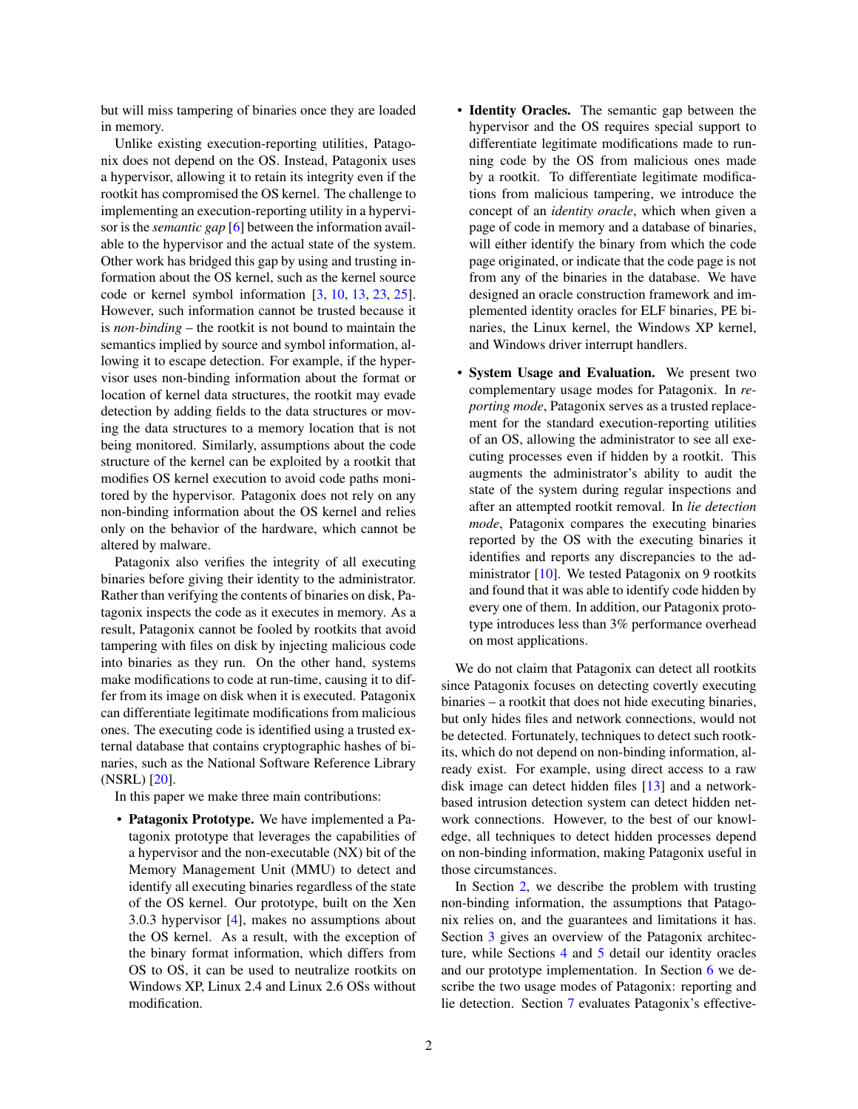but will miss tampering of binaries once they are loaded in memory.

Unlike existing execution-reporting utilities, Patagonix does not depend on the OS. Instead, Patagonix uses a hypervisor, allowing it to retain its integrity even if the rootkit has compromised the OS kernel. The challenge to implementing an execution-reporting utility in a hypervisor is the *semantic gap* [\[6\]](#page-0-0) between the information available to the hypervisor and the actual state of the system. Other work has bridged this gap by using and trusting information about the OS kernel, such as the kernel source code or kernel symbol information [\[3,](#page-0-0) [10,](#page-0-0) [13,](#page-0-0) [23,](#page-0-0) [25\]](#page-0-0). However, such information cannot be trusted because it is *non-binding* – the rootkit is not bound to maintain the semantics implied by source and symbol information, allowing it to escape detection. For example, if the hypervisor uses non-binding information about the format or location of kernel data structures, the rootkit may evade detection by adding fields to the data structures or moving the data structures to a memory location that is not being monitored. Similarly, assumptions about the code structure of the kernel can be exploited by a rootkit that modifies OS kernel execution to avoid code paths monitored by the hypervisor. Patagonix does not rely on any non-binding information about the OS kernel and relies only on the behavior of the hardware, which cannot be altered by malware.

Patagonix also verifies the integrity of all executing binaries before giving their identity to the administrator. Rather than verifying the contents of binaries on disk, Patagonix inspects the code as it executes in memory. As a result, Patagonix cannot be fooled by rootkits that avoid tampering with files on disk by injecting malicious code into binaries as they run. On the other hand, systems make modifications to code at run-time, causing it to differ from its image on disk when it is executed. Patagonix can differentiate legitimate modifications from malicious ones. The executing code is identified using a trusted external database that contains cryptographic hashes of binaries, such as the National Software Reference Library (NSRL) [\[20\]](#page-0-0).

In this paper we make three main contributions:

• Patagonix Prototype. We have implemented a Patagonix prototype that leverages the capabilities of a hypervisor and the non-executable (NX) bit of the Memory Management Unit (MMU) to detect and identify all executing binaries regardless of the state of the OS kernel. Our prototype, built on the Xen 3.0.3 hypervisor [\[4\]](#page-0-0), makes no assumptions about the OS kernel. As a result, with the exception of the binary format information, which differs from OS to OS, it can be used to neutralize rootkits on Windows XP, Linux 2.4 and Linux 2.6 OSs without modification.

- Identity Oracles. The semantic gap between the hypervisor and the OS requires special support to differentiate legitimate modifications made to running code by the OS from malicious ones made by a rootkit. To differentiate legitimate modifications from malicious tampering, we introduce the concept of an *identity oracle*, which when given a page of code in memory and a database of binaries, will either identify the binary from which the code page originated, or indicate that the code page is not from any of the binaries in the database. We have designed an oracle construction framework and implemented identity oracles for ELF binaries, PE binaries, the Linux kernel, the Windows XP kernel, and Windows driver interrupt handlers.
- System Usage and Evaluation. We present two complementary usage modes for Patagonix. In *reporting mode*, Patagonix serves as a trusted replacement for the standard execution-reporting utilities of an OS, allowing the administrator to see all executing processes even if hidden by a rootkit. This augments the administrator's ability to audit the state of the system during regular inspections and after an attempted rootkit removal. In *lie detection mode*, Patagonix compares the executing binaries reported by the OS with the executing binaries it identifies and reports any discrepancies to the administrator  $[10]$ . We tested Patagonix on 9 rootkits and found that it was able to identify code hidden by every one of them. In addition, our Patagonix prototype introduces less than 3% performance overhead on most applications.

We do not claim that Patagonix can detect all rootkits since Patagonix focuses on detecting covertly executing binaries – a rootkit that does not hide executing binaries, but only hides files and network connections, would not be detected. Fortunately, techniques to detect such rootkits, which do not depend on non-binding information, already exist. For example, using direct access to a raw disk image can detect hidden files [\[13\]](#page-0-0) and a networkbased intrusion detection system can detect hidden network connections. However, to the best of our knowledge, all techniques to detect hidden processes depend on non-binding information, making Patagonix useful in those circumstances.

In Section [2,](#page-2-0) we describe the problem with trusting non-binding information, the assumptions that Patagonix relies on, and the guarantees and limitations it has. Section [3](#page-3-0) gives an overview of the Patagonix architecture, while Sections [4](#page-6-0) and [5](#page-9-0) detail our identity oracles and our prototype implementation. In Section [6](#page-10-0) we describe the two usage modes of Patagonix: reporting and lie detection. Section [7](#page-11-0) evaluates Patagonix's effective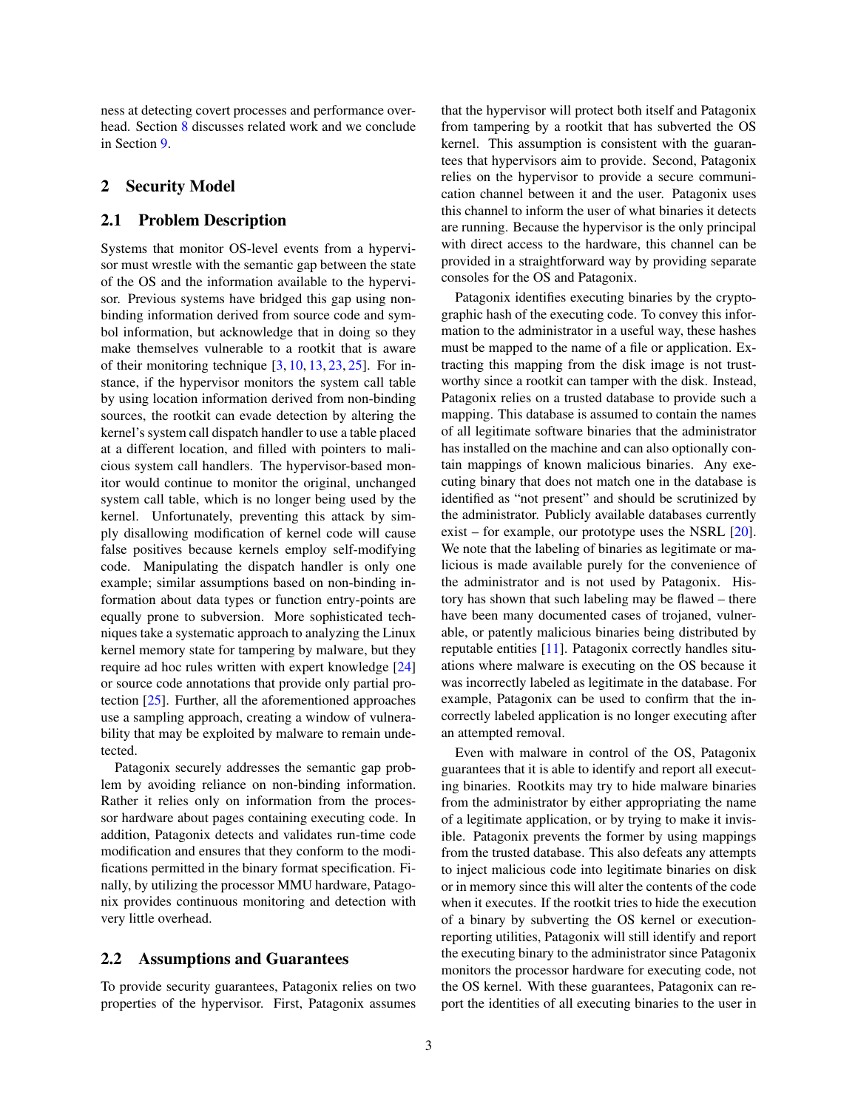ness at detecting covert processes and performance overhead. Section [8](#page-13-0) discusses related work and we conclude in Section [9.](#page-14-0)

## <span id="page-2-0"></span>2 Security Model

#### 2.1 Problem Description

Systems that monitor OS-level events from a hypervisor must wrestle with the semantic gap between the state of the OS and the information available to the hypervisor. Previous systems have bridged this gap using nonbinding information derived from source code and symbol information, but acknowledge that in doing so they make themselves vulnerable to a rootkit that is aware of their monitoring technique  $[3, 10, 13, 23, 25]$  $[3, 10, 13, 23, 25]$  $[3, 10, 13, 23, 25]$  $[3, 10, 13, 23, 25]$  $[3, 10, 13, 23, 25]$  $[3, 10, 13, 23, 25]$  $[3, 10, 13, 23, 25]$  $[3, 10, 13, 23, 25]$  $[3, 10, 13, 23, 25]$ . For instance, if the hypervisor monitors the system call table by using location information derived from non-binding sources, the rootkit can evade detection by altering the kernel's system call dispatch handler to use a table placed at a different location, and filled with pointers to malicious system call handlers. The hypervisor-based monitor would continue to monitor the original, unchanged system call table, which is no longer being used by the kernel. Unfortunately, preventing this attack by simply disallowing modification of kernel code will cause false positives because kernels employ self-modifying code. Manipulating the dispatch handler is only one example; similar assumptions based on non-binding information about data types or function entry-points are equally prone to subversion. More sophisticated techniques take a systematic approach to analyzing the Linux kernel memory state for tampering by malware, but they require ad hoc rules written with expert knowledge [\[24\]](#page-0-0) or source code annotations that provide only partial protection [\[25\]](#page-0-0). Further, all the aforementioned approaches use a sampling approach, creating a window of vulnerability that may be exploited by malware to remain undetected.

Patagonix securely addresses the semantic gap problem by avoiding reliance on non-binding information. Rather it relies only on information from the processor hardware about pages containing executing code. In addition, Patagonix detects and validates run-time code modification and ensures that they conform to the modifications permitted in the binary format specification. Finally, by utilizing the processor MMU hardware, Patagonix provides continuous monitoring and detection with very little overhead.

#### 2.2 Assumptions and Guarantees

To provide security guarantees, Patagonix relies on two properties of the hypervisor. First, Patagonix assumes that the hypervisor will protect both itself and Patagonix from tampering by a rootkit that has subverted the OS kernel. This assumption is consistent with the guarantees that hypervisors aim to provide. Second, Patagonix relies on the hypervisor to provide a secure communication channel between it and the user. Patagonix uses this channel to inform the user of what binaries it detects are running. Because the hypervisor is the only principal with direct access to the hardware, this channel can be provided in a straightforward way by providing separate consoles for the OS and Patagonix.

Patagonix identifies executing binaries by the cryptographic hash of the executing code. To convey this information to the administrator in a useful way, these hashes must be mapped to the name of a file or application. Extracting this mapping from the disk image is not trustworthy since a rootkit can tamper with the disk. Instead, Patagonix relies on a trusted database to provide such a mapping. This database is assumed to contain the names of all legitimate software binaries that the administrator has installed on the machine and can also optionally contain mappings of known malicious binaries. Any executing binary that does not match one in the database is identified as "not present" and should be scrutinized by the administrator. Publicly available databases currently exist – for example, our prototype uses the NSRL [\[20\]](#page-0-0). We note that the labeling of binaries as legitimate or malicious is made available purely for the convenience of the administrator and is not used by Patagonix. History has shown that such labeling may be flawed – there have been many documented cases of trojaned, vulnerable, or patently malicious binaries being distributed by reputable entities [\[11\]](#page-0-0). Patagonix correctly handles situations where malware is executing on the OS because it was incorrectly labeled as legitimate in the database. For example, Patagonix can be used to confirm that the incorrectly labeled application is no longer executing after an attempted removal.

Even with malware in control of the OS, Patagonix guarantees that it is able to identify and report all executing binaries. Rootkits may try to hide malware binaries from the administrator by either appropriating the name of a legitimate application, or by trying to make it invisible. Patagonix prevents the former by using mappings from the trusted database. This also defeats any attempts to inject malicious code into legitimate binaries on disk or in memory since this will alter the contents of the code when it executes. If the rootkit tries to hide the execution of a binary by subverting the OS kernel or executionreporting utilities, Patagonix will still identify and report the executing binary to the administrator since Patagonix monitors the processor hardware for executing code, not the OS kernel. With these guarantees, Patagonix can report the identities of all executing binaries to the user in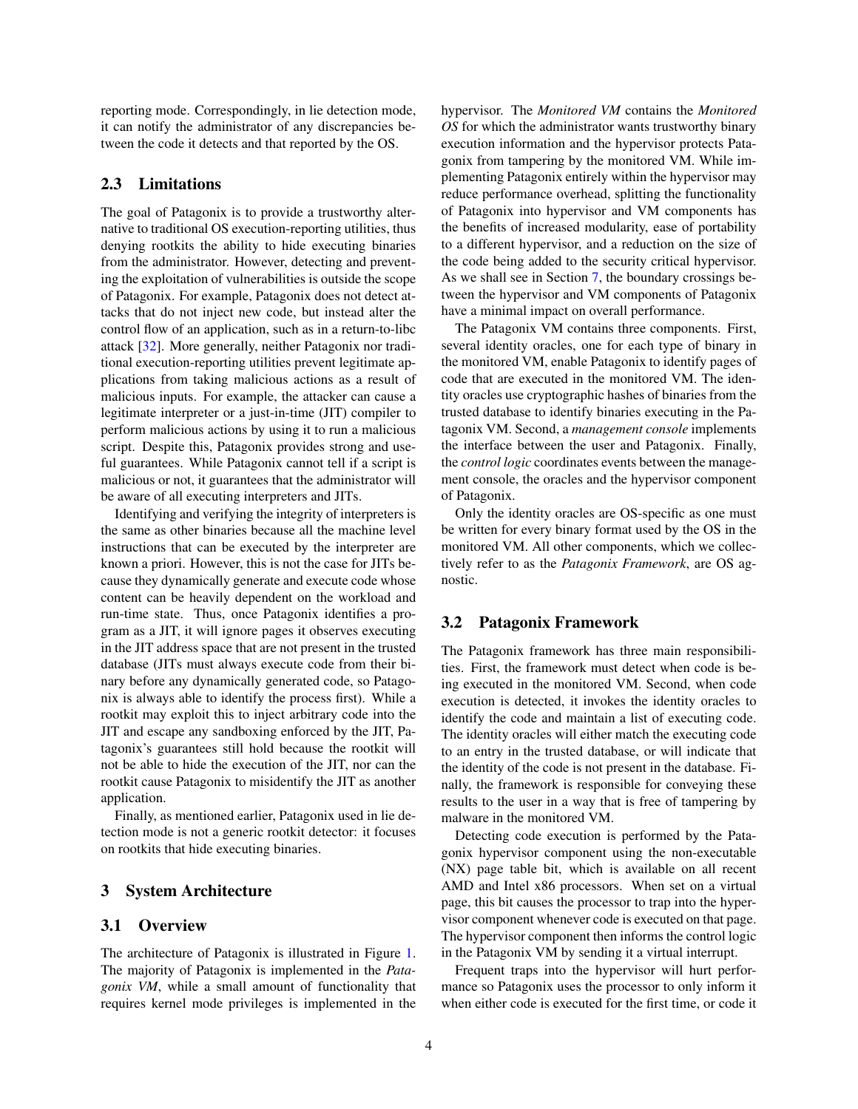reporting mode. Correspondingly, in lie detection mode, it can notify the administrator of any discrepancies between the code it detects and that reported by the OS.

## 2.3 Limitations

The goal of Patagonix is to provide a trustworthy alternative to traditional OS execution-reporting utilities, thus denying rootkits the ability to hide executing binaries from the administrator. However, detecting and preventing the exploitation of vulnerabilities is outside the scope of Patagonix. For example, Patagonix does not detect attacks that do not inject new code, but instead alter the control flow of an application, such as in a return-to-libc attack [\[32\]](#page-0-0). More generally, neither Patagonix nor traditional execution-reporting utilities prevent legitimate applications from taking malicious actions as a result of malicious inputs. For example, the attacker can cause a legitimate interpreter or a just-in-time (JIT) compiler to perform malicious actions by using it to run a malicious script. Despite this, Patagonix provides strong and useful guarantees. While Patagonix cannot tell if a script is malicious or not, it guarantees that the administrator will be aware of all executing interpreters and JITs.

Identifying and verifying the integrity of interpreters is the same as other binaries because all the machine level instructions that can be executed by the interpreter are known a priori. However, this is not the case for JITs because they dynamically generate and execute code whose content can be heavily dependent on the workload and run-time state. Thus, once Patagonix identifies a program as a JIT, it will ignore pages it observes executing in the JIT address space that are not present in the trusted database (JITs must always execute code from their binary before any dynamically generated code, so Patagonix is always able to identify the process first). While a rootkit may exploit this to inject arbitrary code into the JIT and escape any sandboxing enforced by the JIT, Patagonix's guarantees still hold because the rootkit will not be able to hide the execution of the JIT, nor can the rootkit cause Patagonix to misidentify the JIT as another application.

Finally, as mentioned earlier, Patagonix used in lie detection mode is not a generic rootkit detector: it focuses on rootkits that hide executing binaries.

#### <span id="page-3-0"></span>3 System Architecture

#### 3.1 Overview

The architecture of Patagonix is illustrated in Figure [1.](#page-4-0) The majority of Patagonix is implemented in the *Patagonix VM*, while a small amount of functionality that requires kernel mode privileges is implemented in the hypervisor. The *Monitored VM* contains the *Monitored OS* for which the administrator wants trustworthy binary execution information and the hypervisor protects Patagonix from tampering by the monitored VM. While implementing Patagonix entirely within the hypervisor may reduce performance overhead, splitting the functionality of Patagonix into hypervisor and VM components has the benefits of increased modularity, ease of portability to a different hypervisor, and a reduction on the size of the code being added to the security critical hypervisor. As we shall see in Section [7,](#page-11-0) the boundary crossings between the hypervisor and VM components of Patagonix have a minimal impact on overall performance.

The Patagonix VM contains three components. First, several identity oracles, one for each type of binary in the monitored VM, enable Patagonix to identify pages of code that are executed in the monitored VM. The identity oracles use cryptographic hashes of binaries from the trusted database to identify binaries executing in the Patagonix VM. Second, a *management console* implements the interface between the user and Patagonix. Finally, the *control logic* coordinates events between the management console, the oracles and the hypervisor component of Patagonix.

Only the identity oracles are OS-specific as one must be written for every binary format used by the OS in the monitored VM. All other components, which we collectively refer to as the *Patagonix Framework*, are OS agnostic.

#### 3.2 Patagonix Framework

The Patagonix framework has three main responsibilities. First, the framework must detect when code is being executed in the monitored VM. Second, when code execution is detected, it invokes the identity oracles to identify the code and maintain a list of executing code. The identity oracles will either match the executing code to an entry in the trusted database, or will indicate that the identity of the code is not present in the database. Finally, the framework is responsible for conveying these results to the user in a way that is free of tampering by malware in the monitored VM.

Detecting code execution is performed by the Patagonix hypervisor component using the non-executable (NX) page table bit, which is available on all recent AMD and Intel x86 processors. When set on a virtual page, this bit causes the processor to trap into the hypervisor component whenever code is executed on that page. The hypervisor component then informs the control logic in the Patagonix VM by sending it a virtual interrupt.

Frequent traps into the hypervisor will hurt performance so Patagonix uses the processor to only inform it when either code is executed for the first time, or code it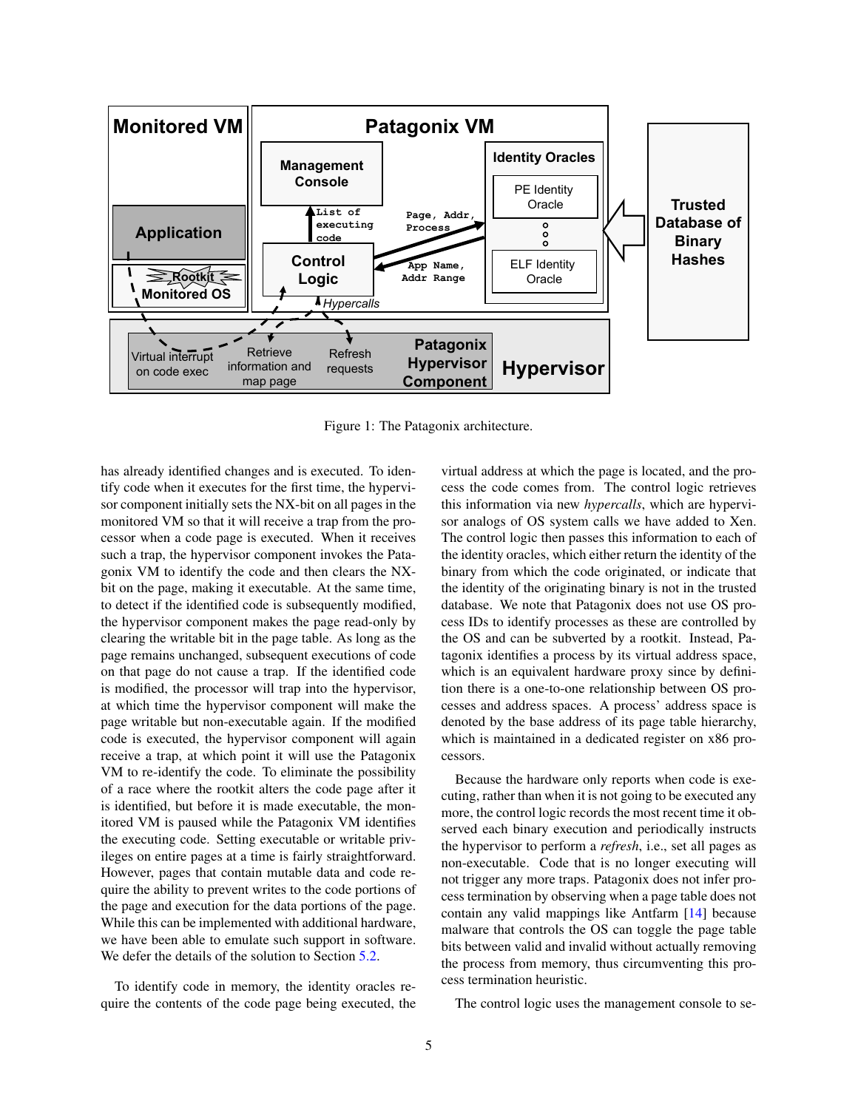

<span id="page-4-0"></span>Figure 1: The Patagonix architecture.

has already identified changes and is executed. To identify code when it executes for the first time, the hypervisor component initially sets the NX-bit on all pages in the monitored VM so that it will receive a trap from the processor when a code page is executed. When it receives such a trap, the hypervisor component invokes the Patagonix VM to identify the code and then clears the NXbit on the page, making it executable. At the same time, to detect if the identified code is subsequently modified, the hypervisor component makes the page read-only by clearing the writable bit in the page table. As long as the page remains unchanged, subsequent executions of code on that page do not cause a trap. If the identified code is modified, the processor will trap into the hypervisor, at which time the hypervisor component will make the page writable but non-executable again. If the modified code is executed, the hypervisor component will again receive a trap, at which point it will use the Patagonix VM to re-identify the code. To eliminate the possibility of a race where the rootkit alters the code page after it is identified, but before it is made executable, the monitored VM is paused while the Patagonix VM identifies the executing code. Setting executable or writable privileges on entire pages at a time is fairly straightforward. However, pages that contain mutable data and code require the ability to prevent writes to the code portions of the page and execution for the data portions of the page. While this can be implemented with additional hardware, we have been able to emulate such support in software. We defer the details of the solution to Section [5.2.](#page-9-1)

To identify code in memory, the identity oracles require the contents of the code page being executed, the virtual address at which the page is located, and the process the code comes from. The control logic retrieves this information via new *hypercalls*, which are hypervisor analogs of OS system calls we have added to Xen. The control logic then passes this information to each of the identity oracles, which either return the identity of the binary from which the code originated, or indicate that the identity of the originating binary is not in the trusted database. We note that Patagonix does not use OS process IDs to identify processes as these are controlled by the OS and can be subverted by a rootkit. Instead, Patagonix identifies a process by its virtual address space, which is an equivalent hardware proxy since by definition there is a one-to-one relationship between OS processes and address spaces. A process' address space is denoted by the base address of its page table hierarchy, which is maintained in a dedicated register on x86 processors.

Because the hardware only reports when code is executing, rather than when it is not going to be executed any more, the control logic records the most recent time it observed each binary execution and periodically instructs the hypervisor to perform a *refresh*, i.e., set all pages as non-executable. Code that is no longer executing will not trigger any more traps. Patagonix does not infer process termination by observing when a page table does not contain any valid mappings like Antfarm [\[14\]](#page-0-0) because malware that controls the OS can toggle the page table bits between valid and invalid without actually removing the process from memory, thus circumventing this process termination heuristic.

The control logic uses the management console to se-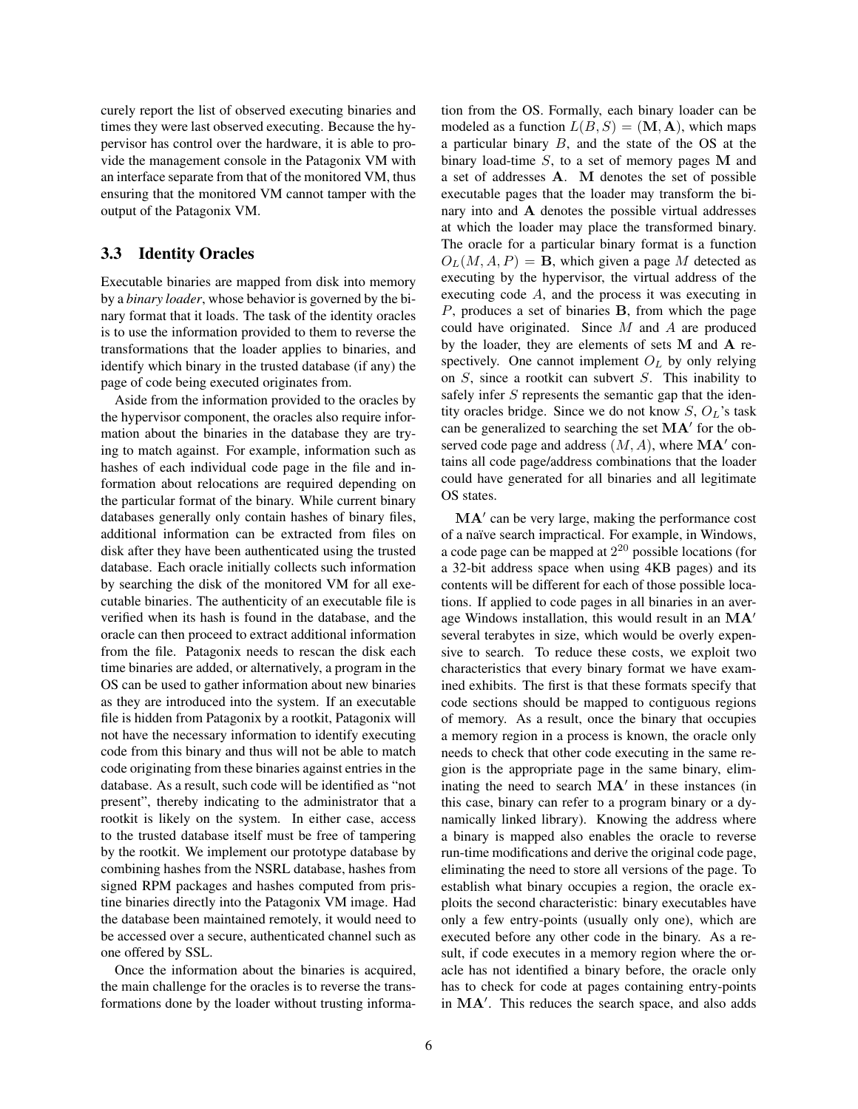curely report the list of observed executing binaries and times they were last observed executing. Because the hypervisor has control over the hardware, it is able to provide the management console in the Patagonix VM with an interface separate from that of the monitored VM, thus ensuring that the monitored VM cannot tamper with the output of the Patagonix VM.

## 3.3 Identity Oracles

Executable binaries are mapped from disk into memory by a *binary loader*, whose behavior is governed by the binary format that it loads. The task of the identity oracles is to use the information provided to them to reverse the transformations that the loader applies to binaries, and identify which binary in the trusted database (if any) the page of code being executed originates from.

Aside from the information provided to the oracles by the hypervisor component, the oracles also require information about the binaries in the database they are trying to match against. For example, information such as hashes of each individual code page in the file and information about relocations are required depending on the particular format of the binary. While current binary databases generally only contain hashes of binary files, additional information can be extracted from files on disk after they have been authenticated using the trusted database. Each oracle initially collects such information by searching the disk of the monitored VM for all executable binaries. The authenticity of an executable file is verified when its hash is found in the database, and the oracle can then proceed to extract additional information from the file. Patagonix needs to rescan the disk each time binaries are added, or alternatively, a program in the OS can be used to gather information about new binaries as they are introduced into the system. If an executable file is hidden from Patagonix by a rootkit, Patagonix will not have the necessary information to identify executing code from this binary and thus will not be able to match code originating from these binaries against entries in the database. As a result, such code will be identified as "not present", thereby indicating to the administrator that a rootkit is likely on the system. In either case, access to the trusted database itself must be free of tampering by the rootkit. We implement our prototype database by combining hashes from the NSRL database, hashes from signed RPM packages and hashes computed from pristine binaries directly into the Patagonix VM image. Had the database been maintained remotely, it would need to be accessed over a secure, authenticated channel such as one offered by SSL.

Once the information about the binaries is acquired, the main challenge for the oracles is to reverse the transformations done by the loader without trusting information from the OS. Formally, each binary loader can be modeled as a function  $L(B, S) = (\mathbf{M}, \mathbf{A})$ , which maps a particular binary B, and the state of the OS at the binary load-time  $S$ , to a set of memory pages M and a set of addresses A. M denotes the set of possible executable pages that the loader may transform the binary into and A denotes the possible virtual addresses at which the loader may place the transformed binary. The oracle for a particular binary format is a function  $O<sub>L</sub>(M, A, P) =$ **B**, which given a page M detected as executing by the hypervisor, the virtual address of the executing code A, and the process it was executing in P, produces a set of binaries B, from which the page could have originated. Since  $M$  and  $\ddot{A}$  are produced by the loader, they are elements of sets M and A respectively. One cannot implement  $O<sub>L</sub>$  by only relying on S, since a rootkit can subvert S. This inability to safely infer S represents the semantic gap that the identity oracles bridge. Since we do not know  $S, O<sub>L</sub>$ 's task can be generalized to searching the set  $MA'$  for the observed code page and address  $(M, A)$ , where  $MA'$  contains all code page/address combinations that the loader could have generated for all binaries and all legitimate OS states.

MA' can be very large, making the performance cost of a naïve search impractical. For example, in Windows, a code page can be mapped at  $2^{20}$  possible locations (for a 32-bit address space when using 4KB pages) and its contents will be different for each of those possible locations. If applied to code pages in all binaries in an average Windows installation, this would result in an  $MA'$ several terabytes in size, which would be overly expensive to search. To reduce these costs, we exploit two characteristics that every binary format we have examined exhibits. The first is that these formats specify that code sections should be mapped to contiguous regions of memory. As a result, once the binary that occupies a memory region in a process is known, the oracle only needs to check that other code executing in the same region is the appropriate page in the same binary, eliminating the need to search  $MA'$  in these instances (in this case, binary can refer to a program binary or a dynamically linked library). Knowing the address where a binary is mapped also enables the oracle to reverse run-time modifications and derive the original code page, eliminating the need to store all versions of the page. To establish what binary occupies a region, the oracle exploits the second characteristic: binary executables have only a few entry-points (usually only one), which are executed before any other code in the binary. As a result, if code executes in a memory region where the oracle has not identified a binary before, the oracle only has to check for code at pages containing entry-points in  $MA'$ . This reduces the search space, and also adds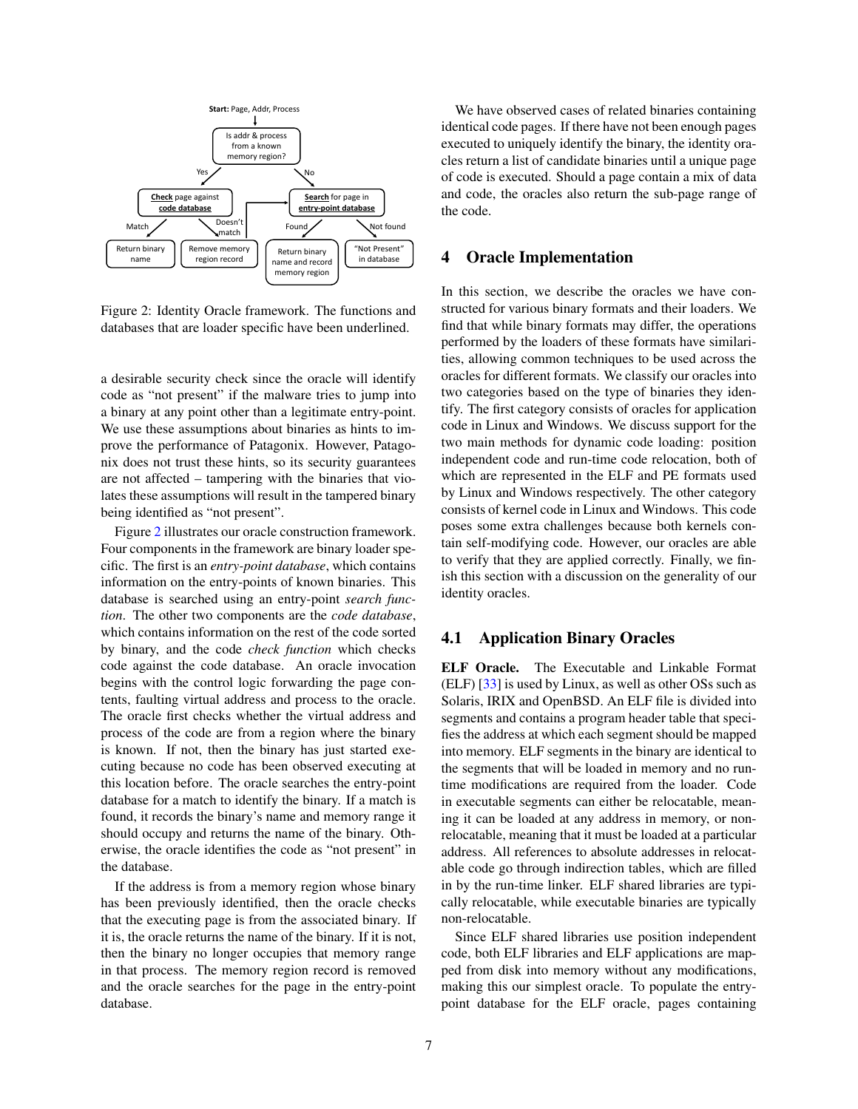

<span id="page-6-1"></span>Figure 2: Identity Oracle framework. The functions and databases that are loader specific have been underlined.

a desirable security check since the oracle will identify code as "not present" if the malware tries to jump into a binary at any point other than a legitimate entry-point. We use these assumptions about binaries as hints to improve the performance of Patagonix. However, Patagonix does not trust these hints, so its security guarantees are not affected – tampering with the binaries that violates these assumptions will result in the tampered binary being identified as "not present".

Figure [2](#page-6-1) illustrates our oracle construction framework. Four components in the framework are binary loader specific. The first is an *entry-point database*, which contains information on the entry-points of known binaries. This database is searched using an entry-point *search function*. The other two components are the *code database*, which contains information on the rest of the code sorted by binary, and the code *check function* which checks code against the code database. An oracle invocation begins with the control logic forwarding the page contents, faulting virtual address and process to the oracle. The oracle first checks whether the virtual address and process of the code are from a region where the binary is known. If not, then the binary has just started executing because no code has been observed executing at this location before. The oracle searches the entry-point database for a match to identify the binary. If a match is found, it records the binary's name and memory range it should occupy and returns the name of the binary. Otherwise, the oracle identifies the code as "not present" in the database.

If the address is from a memory region whose binary has been previously identified, then the oracle checks that the executing page is from the associated binary. If it is, the oracle returns the name of the binary. If it is not, then the binary no longer occupies that memory range in that process. The memory region record is removed and the oracle searches for the page in the entry-point database.

We have observed cases of related binaries containing identical code pages. If there have not been enough pages executed to uniquely identify the binary, the identity oracles return a list of candidate binaries until a unique page of code is executed. Should a page contain a mix of data and code, the oracles also return the sub-page range of the code.

#### <span id="page-6-0"></span>4 Oracle Implementation

In this section, we describe the oracles we have constructed for various binary formats and their loaders. We find that while binary formats may differ, the operations performed by the loaders of these formats have similarities, allowing common techniques to be used across the oracles for different formats. We classify our oracles into two categories based on the type of binaries they identify. The first category consists of oracles for application code in Linux and Windows. We discuss support for the two main methods for dynamic code loading: position independent code and run-time code relocation, both of which are represented in the ELF and PE formats used by Linux and Windows respectively. The other category consists of kernel code in Linux and Windows. This code poses some extra challenges because both kernels contain self-modifying code. However, our oracles are able to verify that they are applied correctly. Finally, we finish this section with a discussion on the generality of our identity oracles.

### 4.1 Application Binary Oracles

ELF Oracle. The Executable and Linkable Format (ELF) [\[33\]](#page-0-0) is used by Linux, as well as other OSs such as Solaris, IRIX and OpenBSD. An ELF file is divided into segments and contains a program header table that specifies the address at which each segment should be mapped into memory. ELF segments in the binary are identical to the segments that will be loaded in memory and no runtime modifications are required from the loader. Code in executable segments can either be relocatable, meaning it can be loaded at any address in memory, or nonrelocatable, meaning that it must be loaded at a particular address. All references to absolute addresses in relocatable code go through indirection tables, which are filled in by the run-time linker. ELF shared libraries are typically relocatable, while executable binaries are typically non-relocatable.

Since ELF shared libraries use position independent code, both ELF libraries and ELF applications are mapped from disk into memory without any modifications, making this our simplest oracle. To populate the entrypoint database for the ELF oracle, pages containing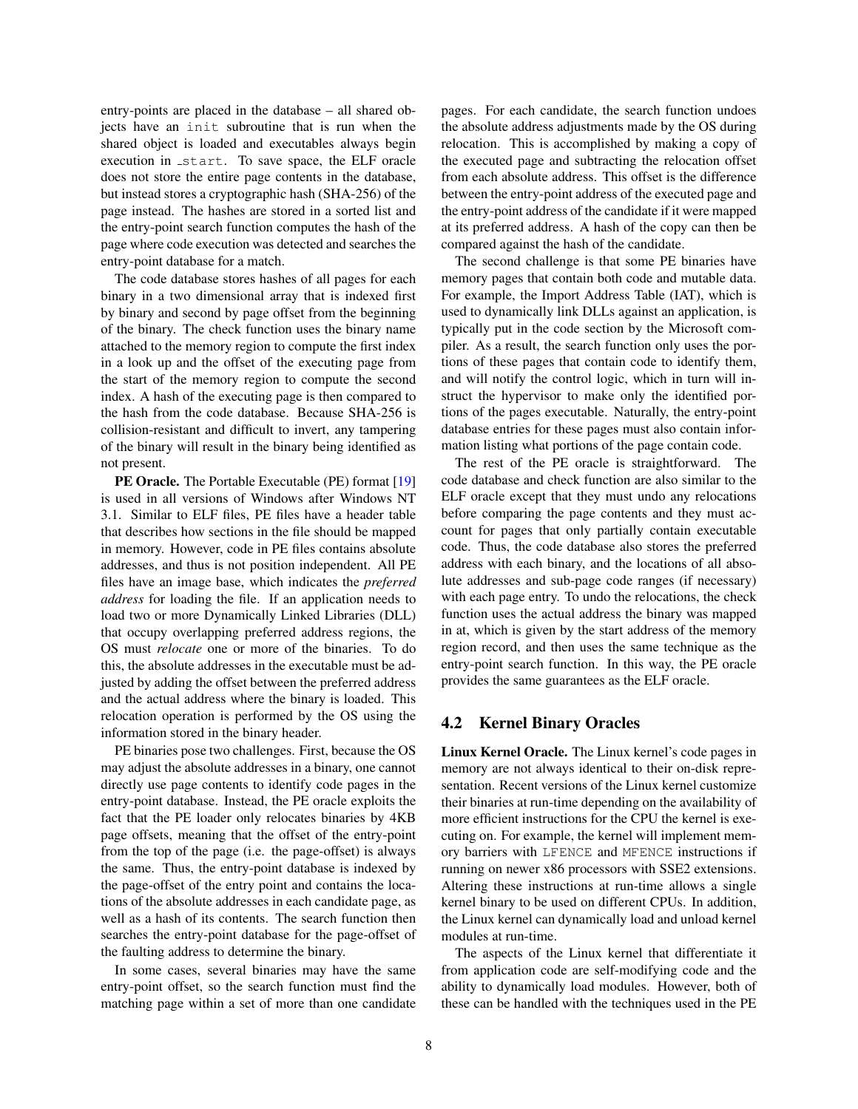entry-points are placed in the database – all shared objects have an init subroutine that is run when the shared object is loaded and executables always begin execution in start. To save space, the ELF oracle does not store the entire page contents in the database, but instead stores a cryptographic hash (SHA-256) of the page instead. The hashes are stored in a sorted list and the entry-point search function computes the hash of the page where code execution was detected and searches the entry-point database for a match.

The code database stores hashes of all pages for each binary in a two dimensional array that is indexed first by binary and second by page offset from the beginning of the binary. The check function uses the binary name attached to the memory region to compute the first index in a look up and the offset of the executing page from the start of the memory region to compute the second index. A hash of the executing page is then compared to the hash from the code database. Because SHA-256 is collision-resistant and difficult to invert, any tampering of the binary will result in the binary being identified as not present.

PE Oracle. The Portable Executable (PE) format [\[19\]](#page-0-0) is used in all versions of Windows after Windows NT 3.1. Similar to ELF files, PE files have a header table that describes how sections in the file should be mapped in memory. However, code in PE files contains absolute addresses, and thus is not position independent. All PE files have an image base, which indicates the *preferred address* for loading the file. If an application needs to load two or more Dynamically Linked Libraries (DLL) that occupy overlapping preferred address regions, the OS must *relocate* one or more of the binaries. To do this, the absolute addresses in the executable must be adjusted by adding the offset between the preferred address and the actual address where the binary is loaded. This relocation operation is performed by the OS using the information stored in the binary header.

PE binaries pose two challenges. First, because the OS may adjust the absolute addresses in a binary, one cannot directly use page contents to identify code pages in the entry-point database. Instead, the PE oracle exploits the fact that the PE loader only relocates binaries by 4KB page offsets, meaning that the offset of the entry-point from the top of the page (i.e. the page-offset) is always the same. Thus, the entry-point database is indexed by the page-offset of the entry point and contains the locations of the absolute addresses in each candidate page, as well as a hash of its contents. The search function then searches the entry-point database for the page-offset of the faulting address to determine the binary.

In some cases, several binaries may have the same entry-point offset, so the search function must find the matching page within a set of more than one candidate pages. For each candidate, the search function undoes the absolute address adjustments made by the OS during relocation. This is accomplished by making a copy of the executed page and subtracting the relocation offset from each absolute address. This offset is the difference between the entry-point address of the executed page and the entry-point address of the candidate if it were mapped at its preferred address. A hash of the copy can then be compared against the hash of the candidate.

The second challenge is that some PE binaries have memory pages that contain both code and mutable data. For example, the Import Address Table (IAT), which is used to dynamically link DLLs against an application, is typically put in the code section by the Microsoft compiler. As a result, the search function only uses the portions of these pages that contain code to identify them, and will notify the control logic, which in turn will instruct the hypervisor to make only the identified portions of the pages executable. Naturally, the entry-point database entries for these pages must also contain information listing what portions of the page contain code.

The rest of the PE oracle is straightforward. The code database and check function are also similar to the ELF oracle except that they must undo any relocations before comparing the page contents and they must account for pages that only partially contain executable code. Thus, the code database also stores the preferred address with each binary, and the locations of all absolute addresses and sub-page code ranges (if necessary) with each page entry. To undo the relocations, the check function uses the actual address the binary was mapped in at, which is given by the start address of the memory region record, and then uses the same technique as the entry-point search function. In this way, the PE oracle provides the same guarantees as the ELF oracle.

### 4.2 Kernel Binary Oracles

Linux Kernel Oracle. The Linux kernel's code pages in memory are not always identical to their on-disk representation. Recent versions of the Linux kernel customize their binaries at run-time depending on the availability of more efficient instructions for the CPU the kernel is executing on. For example, the kernel will implement memory barriers with LFENCE and MFENCE instructions if running on newer x86 processors with SSE2 extensions. Altering these instructions at run-time allows a single kernel binary to be used on different CPUs. In addition, the Linux kernel can dynamically load and unload kernel modules at run-time.

The aspects of the Linux kernel that differentiate it from application code are self-modifying code and the ability to dynamically load modules. However, both of these can be handled with the techniques used in the PE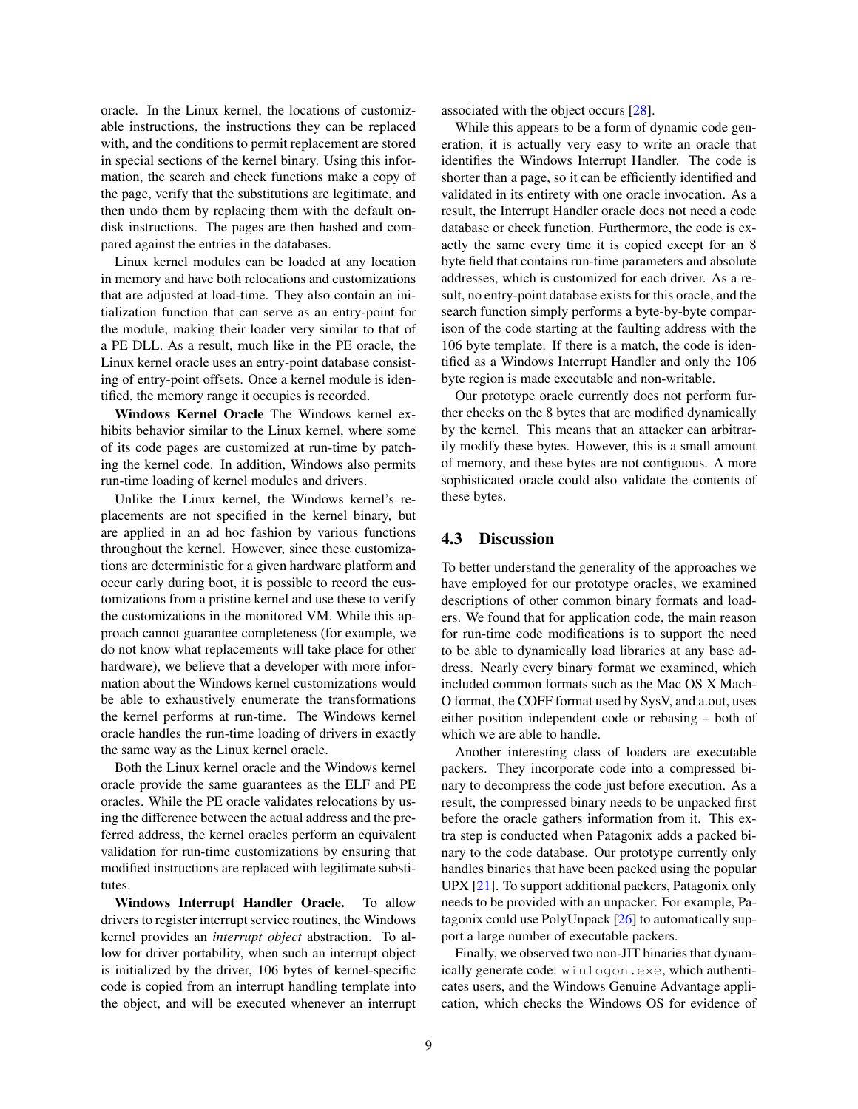oracle. In the Linux kernel, the locations of customizable instructions, the instructions they can be replaced with, and the conditions to permit replacement are stored in special sections of the kernel binary. Using this information, the search and check functions make a copy of the page, verify that the substitutions are legitimate, and then undo them by replacing them with the default ondisk instructions. The pages are then hashed and compared against the entries in the databases.

Linux kernel modules can be loaded at any location in memory and have both relocations and customizations that are adjusted at load-time. They also contain an initialization function that can serve as an entry-point for the module, making their loader very similar to that of a PE DLL. As a result, much like in the PE oracle, the Linux kernel oracle uses an entry-point database consisting of entry-point offsets. Once a kernel module is identified, the memory range it occupies is recorded.

Windows Kernel Oracle The Windows kernel exhibits behavior similar to the Linux kernel, where some of its code pages are customized at run-time by patching the kernel code. In addition, Windows also permits run-time loading of kernel modules and drivers.

Unlike the Linux kernel, the Windows kernel's replacements are not specified in the kernel binary, but are applied in an ad hoc fashion by various functions throughout the kernel. However, since these customizations are deterministic for a given hardware platform and occur early during boot, it is possible to record the customizations from a pristine kernel and use these to verify the customizations in the monitored VM. While this approach cannot guarantee completeness (for example, we do not know what replacements will take place for other hardware), we believe that a developer with more information about the Windows kernel customizations would be able to exhaustively enumerate the transformations the kernel performs at run-time. The Windows kernel oracle handles the run-time loading of drivers in exactly the same way as the Linux kernel oracle.

Both the Linux kernel oracle and the Windows kernel oracle provide the same guarantees as the ELF and PE oracles. While the PE oracle validates relocations by using the difference between the actual address and the preferred address, the kernel oracles perform an equivalent validation for run-time customizations by ensuring that modified instructions are replaced with legitimate substitutes.

Windows Interrupt Handler Oracle. To allow drivers to register interrupt service routines, the Windows kernel provides an *interrupt object* abstraction. To allow for driver portability, when such an interrupt object is initialized by the driver, 106 bytes of kernel-specific code is copied from an interrupt handling template into the object, and will be executed whenever an interrupt associated with the object occurs [\[28\]](#page-0-0).

While this appears to be a form of dynamic code generation, it is actually very easy to write an oracle that identifies the Windows Interrupt Handler. The code is shorter than a page, so it can be efficiently identified and validated in its entirety with one oracle invocation. As a result, the Interrupt Handler oracle does not need a code database or check function. Furthermore, the code is exactly the same every time it is copied except for an 8 byte field that contains run-time parameters and absolute addresses, which is customized for each driver. As a result, no entry-point database exists for this oracle, and the search function simply performs a byte-by-byte comparison of the code starting at the faulting address with the 106 byte template. If there is a match, the code is identified as a Windows Interrupt Handler and only the 106 byte region is made executable and non-writable.

Our prototype oracle currently does not perform further checks on the 8 bytes that are modified dynamically by the kernel. This means that an attacker can arbitrarily modify these bytes. However, this is a small amount of memory, and these bytes are not contiguous. A more sophisticated oracle could also validate the contents of these bytes.

#### 4.3 Discussion

To better understand the generality of the approaches we have employed for our prototype oracles, we examined descriptions of other common binary formats and loaders. We found that for application code, the main reason for run-time code modifications is to support the need to be able to dynamically load libraries at any base address. Nearly every binary format we examined, which included common formats such as the Mac OS X Mach-O format, the COFF format used by SysV, and a.out, uses either position independent code or rebasing – both of which we are able to handle.

Another interesting class of loaders are executable packers. They incorporate code into a compressed binary to decompress the code just before execution. As a result, the compressed binary needs to be unpacked first before the oracle gathers information from it. This extra step is conducted when Patagonix adds a packed binary to the code database. Our prototype currently only handles binaries that have been packed using the popular UPX [\[21\]](#page-0-0). To support additional packers, Patagonix only needs to be provided with an unpacker. For example, Patagonix could use PolyUnpack [\[26\]](#page-0-0) to automatically support a large number of executable packers.

Finally, we observed two non-JIT binaries that dynamically generate code: winlogon.exe, which authenticates users, and the Windows Genuine Advantage application, which checks the Windows OS for evidence of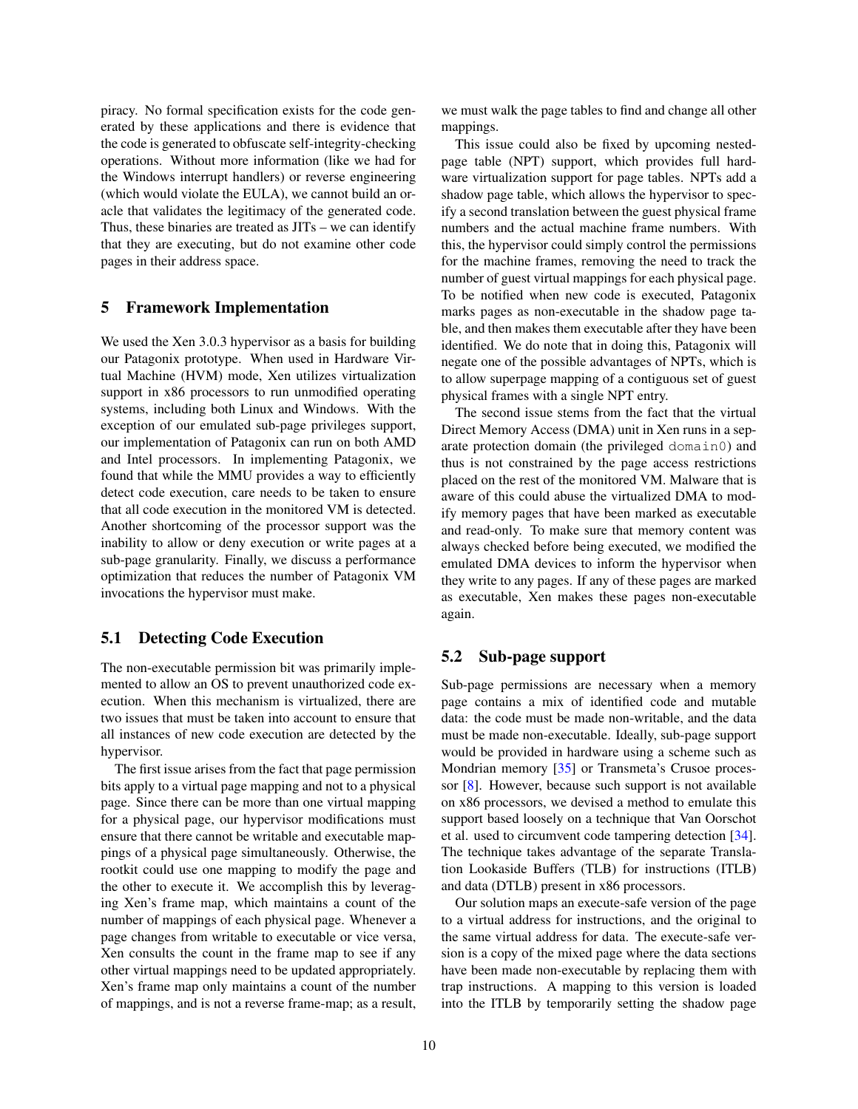piracy. No formal specification exists for the code generated by these applications and there is evidence that the code is generated to obfuscate self-integrity-checking operations. Without more information (like we had for the Windows interrupt handlers) or reverse engineering (which would violate the EULA), we cannot build an oracle that validates the legitimacy of the generated code. Thus, these binaries are treated as JITs – we can identify that they are executing, but do not examine other code pages in their address space.

#### <span id="page-9-0"></span>5 Framework Implementation

We used the Xen 3.0.3 hypervisor as a basis for building our Patagonix prototype. When used in Hardware Virtual Machine (HVM) mode, Xen utilizes virtualization support in x86 processors to run unmodified operating systems, including both Linux and Windows. With the exception of our emulated sub-page privileges support, our implementation of Patagonix can run on both AMD and Intel processors. In implementing Patagonix, we found that while the MMU provides a way to efficiently detect code execution, care needs to be taken to ensure that all code execution in the monitored VM is detected. Another shortcoming of the processor support was the inability to allow or deny execution or write pages at a sub-page granularity. Finally, we discuss a performance optimization that reduces the number of Patagonix VM invocations the hypervisor must make.

### 5.1 Detecting Code Execution

The non-executable permission bit was primarily implemented to allow an OS to prevent unauthorized code execution. When this mechanism is virtualized, there are two issues that must be taken into account to ensure that all instances of new code execution are detected by the hypervisor.

The first issue arises from the fact that page permission bits apply to a virtual page mapping and not to a physical page. Since there can be more than one virtual mapping for a physical page, our hypervisor modifications must ensure that there cannot be writable and executable mappings of a physical page simultaneously. Otherwise, the rootkit could use one mapping to modify the page and the other to execute it. We accomplish this by leveraging Xen's frame map, which maintains a count of the number of mappings of each physical page. Whenever a page changes from writable to executable or vice versa, Xen consults the count in the frame map to see if any other virtual mappings need to be updated appropriately. Xen's frame map only maintains a count of the number of mappings, and is not a reverse frame-map; as a result, we must walk the page tables to find and change all other mappings.

This issue could also be fixed by upcoming nestedpage table (NPT) support, which provides full hardware virtualization support for page tables. NPTs add a shadow page table, which allows the hypervisor to specify a second translation between the guest physical frame numbers and the actual machine frame numbers. With this, the hypervisor could simply control the permissions for the machine frames, removing the need to track the number of guest virtual mappings for each physical page. To be notified when new code is executed, Patagonix marks pages as non-executable in the shadow page table, and then makes them executable after they have been identified. We do note that in doing this, Patagonix will negate one of the possible advantages of NPTs, which is to allow superpage mapping of a contiguous set of guest physical frames with a single NPT entry.

The second issue stems from the fact that the virtual Direct Memory Access (DMA) unit in Xen runs in a separate protection domain (the privileged domain0) and thus is not constrained by the page access restrictions placed on the rest of the monitored VM. Malware that is aware of this could abuse the virtualized DMA to modify memory pages that have been marked as executable and read-only. To make sure that memory content was always checked before being executed, we modified the emulated DMA devices to inform the hypervisor when they write to any pages. If any of these pages are marked as executable, Xen makes these pages non-executable again.

#### <span id="page-9-1"></span>5.2 Sub-page support

Sub-page permissions are necessary when a memory page contains a mix of identified code and mutable data: the code must be made non-writable, and the data must be made non-executable. Ideally, sub-page support would be provided in hardware using a scheme such as Mondrian memory [\[35\]](#page-0-0) or Transmeta's Crusoe processor [\[8\]](#page-0-0). However, because such support is not available on x86 processors, we devised a method to emulate this support based loosely on a technique that Van Oorschot et al. used to circumvent code tampering detection [\[34\]](#page-0-0). The technique takes advantage of the separate Translation Lookaside Buffers (TLB) for instructions (ITLB) and data (DTLB) present in x86 processors.

Our solution maps an execute-safe version of the page to a virtual address for instructions, and the original to the same virtual address for data. The execute-safe version is a copy of the mixed page where the data sections have been made non-executable by replacing them with trap instructions. A mapping to this version is loaded into the ITLB by temporarily setting the shadow page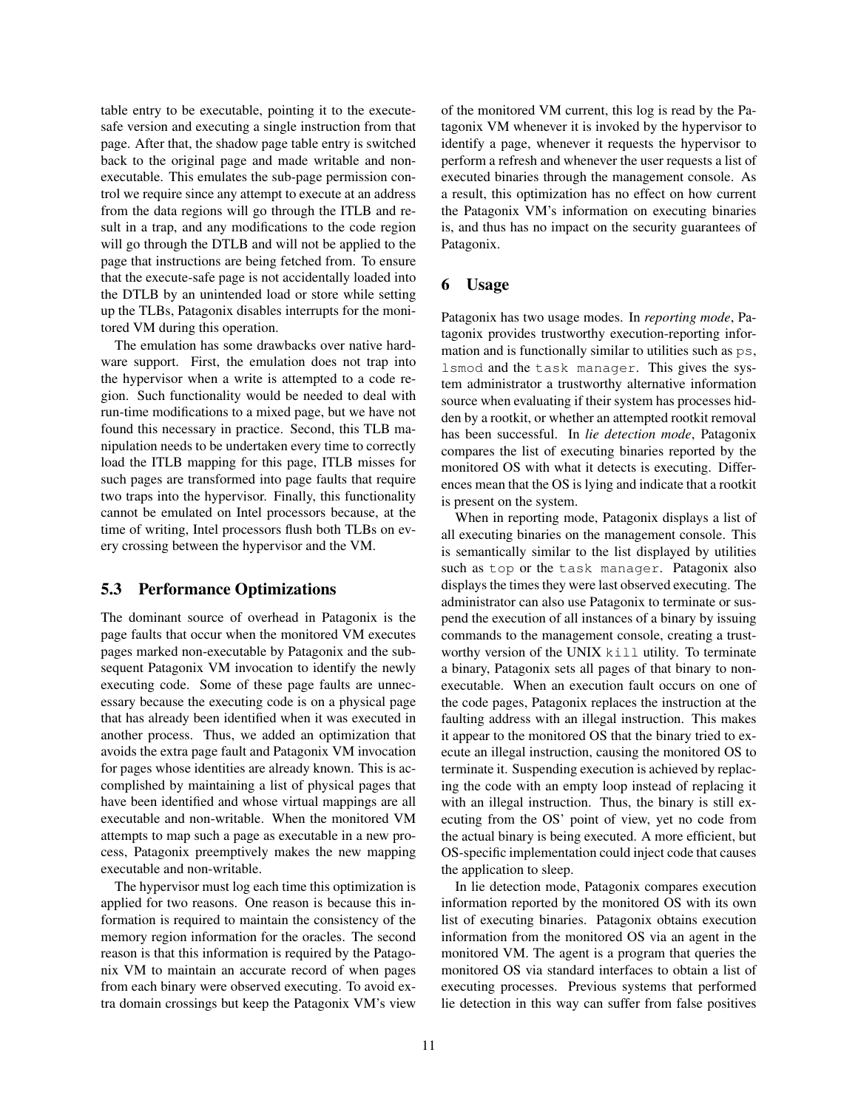table entry to be executable, pointing it to the executesafe version and executing a single instruction from that page. After that, the shadow page table entry is switched back to the original page and made writable and nonexecutable. This emulates the sub-page permission control we require since any attempt to execute at an address from the data regions will go through the ITLB and result in a trap, and any modifications to the code region will go through the DTLB and will not be applied to the page that instructions are being fetched from. To ensure that the execute-safe page is not accidentally loaded into the DTLB by an unintended load or store while setting up the TLBs, Patagonix disables interrupts for the monitored VM during this operation.

The emulation has some drawbacks over native hardware support. First, the emulation does not trap into the hypervisor when a write is attempted to a code region. Such functionality would be needed to deal with run-time modifications to a mixed page, but we have not found this necessary in practice. Second, this TLB manipulation needs to be undertaken every time to correctly load the ITLB mapping for this page, ITLB misses for such pages are transformed into page faults that require two traps into the hypervisor. Finally, this functionality cannot be emulated on Intel processors because, at the time of writing, Intel processors flush both TLBs on every crossing between the hypervisor and the VM.

## 5.3 Performance Optimizations

The dominant source of overhead in Patagonix is the page faults that occur when the monitored VM executes pages marked non-executable by Patagonix and the subsequent Patagonix VM invocation to identify the newly executing code. Some of these page faults are unnecessary because the executing code is on a physical page that has already been identified when it was executed in another process. Thus, we added an optimization that avoids the extra page fault and Patagonix VM invocation for pages whose identities are already known. This is accomplished by maintaining a list of physical pages that have been identified and whose virtual mappings are all executable and non-writable. When the monitored VM attempts to map such a page as executable in a new process, Patagonix preemptively makes the new mapping executable and non-writable.

The hypervisor must log each time this optimization is applied for two reasons. One reason is because this information is required to maintain the consistency of the memory region information for the oracles. The second reason is that this information is required by the Patagonix VM to maintain an accurate record of when pages from each binary were observed executing. To avoid extra domain crossings but keep the Patagonix VM's view of the monitored VM current, this log is read by the Patagonix VM whenever it is invoked by the hypervisor to identify a page, whenever it requests the hypervisor to perform a refresh and whenever the user requests a list of executed binaries through the management console. As a result, this optimization has no effect on how current the Patagonix VM's information on executing binaries is, and thus has no impact on the security guarantees of Patagonix.

## <span id="page-10-0"></span>6 Usage

Patagonix has two usage modes. In *reporting mode*, Patagonix provides trustworthy execution-reporting information and is functionally similar to utilities such as  $ps$ , lsmod and the task manager. This gives the system administrator a trustworthy alternative information source when evaluating if their system has processes hidden by a rootkit, or whether an attempted rootkit removal has been successful. In *lie detection mode*, Patagonix compares the list of executing binaries reported by the monitored OS with what it detects is executing. Differences mean that the OS is lying and indicate that a rootkit is present on the system.

When in reporting mode, Patagonix displays a list of all executing binaries on the management console. This is semantically similar to the list displayed by utilities such as top or the task manager. Patagonix also displays the times they were last observed executing. The administrator can also use Patagonix to terminate or suspend the execution of all instances of a binary by issuing commands to the management console, creating a trustworthy version of the UNIX kill utility. To terminate a binary, Patagonix sets all pages of that binary to nonexecutable. When an execution fault occurs on one of the code pages, Patagonix replaces the instruction at the faulting address with an illegal instruction. This makes it appear to the monitored OS that the binary tried to execute an illegal instruction, causing the monitored OS to terminate it. Suspending execution is achieved by replacing the code with an empty loop instead of replacing it with an illegal instruction. Thus, the binary is still executing from the OS' point of view, yet no code from the actual binary is being executed. A more efficient, but OS-specific implementation could inject code that causes the application to sleep.

In lie detection mode, Patagonix compares execution information reported by the monitored OS with its own list of executing binaries. Patagonix obtains execution information from the monitored OS via an agent in the monitored VM. The agent is a program that queries the monitored OS via standard interfaces to obtain a list of executing processes. Previous systems that performed lie detection in this way can suffer from false positives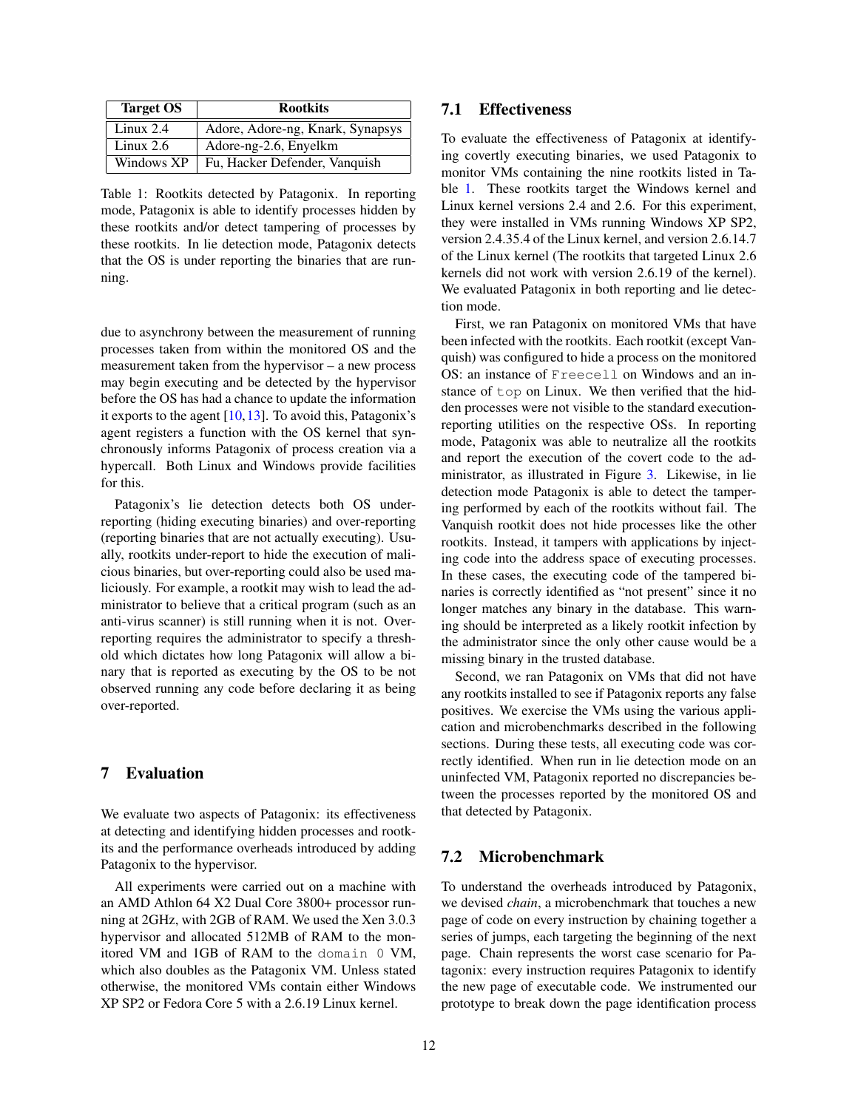| <b>Target OS</b> | <b>Rootkits</b>                  |  |  |
|------------------|----------------------------------|--|--|
| Linux $2.4$      | Adore, Adore-ng, Knark, Synapsys |  |  |
| Linux $2.6$      | Adore-ng-2.6, Enyelkm            |  |  |
| Windows XP       | Fu, Hacker Defender, Vanquish    |  |  |

<span id="page-11-1"></span>Table 1: Rootkits detected by Patagonix. In reporting mode, Patagonix is able to identify processes hidden by these rootkits and/or detect tampering of processes by these rootkits. In lie detection mode, Patagonix detects that the OS is under reporting the binaries that are running.

due to asynchrony between the measurement of running processes taken from within the monitored OS and the measurement taken from the hypervisor – a new process may begin executing and be detected by the hypervisor before the OS has had a chance to update the information it exports to the agent [\[10,13\]](#page-0-0). To avoid this, Patagonix's agent registers a function with the OS kernel that synchronously informs Patagonix of process creation via a hypercall. Both Linux and Windows provide facilities for this.

Patagonix's lie detection detects both OS underreporting (hiding executing binaries) and over-reporting (reporting binaries that are not actually executing). Usually, rootkits under-report to hide the execution of malicious binaries, but over-reporting could also be used maliciously. For example, a rootkit may wish to lead the administrator to believe that a critical program (such as an anti-virus scanner) is still running when it is not. Overreporting requires the administrator to specify a threshold which dictates how long Patagonix will allow a binary that is reported as executing by the OS to be not observed running any code before declaring it as being over-reported.

## <span id="page-11-0"></span>7 Evaluation

We evaluate two aspects of Patagonix: its effectiveness at detecting and identifying hidden processes and rootkits and the performance overheads introduced by adding Patagonix to the hypervisor.

All experiments were carried out on a machine with an AMD Athlon 64 X2 Dual Core 3800+ processor running at 2GHz, with 2GB of RAM. We used the Xen 3.0.3 hypervisor and allocated 512MB of RAM to the monitored VM and 1GB of RAM to the domain 0 VM, which also doubles as the Patagonix VM. Unless stated otherwise, the monitored VMs contain either Windows XP SP2 or Fedora Core 5 with a 2.6.19 Linux kernel.

## 7.1 Effectiveness

To evaluate the effectiveness of Patagonix at identifying covertly executing binaries, we used Patagonix to monitor VMs containing the nine rootkits listed in Table [1.](#page-11-1) These rootkits target the Windows kernel and Linux kernel versions 2.4 and 2.6. For this experiment, they were installed in VMs running Windows XP SP2, version 2.4.35.4 of the Linux kernel, and version 2.6.14.7 of the Linux kernel (The rootkits that targeted Linux 2.6 kernels did not work with version 2.6.19 of the kernel). We evaluated Patagonix in both reporting and lie detection mode.

First, we ran Patagonix on monitored VMs that have been infected with the rootkits. Each rootkit (except Vanquish) was configured to hide a process on the monitored OS: an instance of Freecell on Windows and an instance of top on Linux. We then verified that the hidden processes were not visible to the standard executionreporting utilities on the respective OSs. In reporting mode, Patagonix was able to neutralize all the rootkits and report the execution of the covert code to the administrator, as illustrated in Figure [3.](#page-12-0) Likewise, in lie detection mode Patagonix is able to detect the tampering performed by each of the rootkits without fail. The Vanquish rootkit does not hide processes like the other rootkits. Instead, it tampers with applications by injecting code into the address space of executing processes. In these cases, the executing code of the tampered binaries is correctly identified as "not present" since it no longer matches any binary in the database. This warning should be interpreted as a likely rootkit infection by the administrator since the only other cause would be a missing binary in the trusted database.

Second, we ran Patagonix on VMs that did not have any rootkits installed to see if Patagonix reports any false positives. We exercise the VMs using the various application and microbenchmarks described in the following sections. During these tests, all executing code was correctly identified. When run in lie detection mode on an uninfected VM, Patagonix reported no discrepancies between the processes reported by the monitored OS and that detected by Patagonix.

#### 7.2 Microbenchmark

To understand the overheads introduced by Patagonix, we devised *chain*, a microbenchmark that touches a new page of code on every instruction by chaining together a series of jumps, each targeting the beginning of the next page. Chain represents the worst case scenario for Patagonix: every instruction requires Patagonix to identify the new page of executable code. We instrumented our prototype to break down the page identification process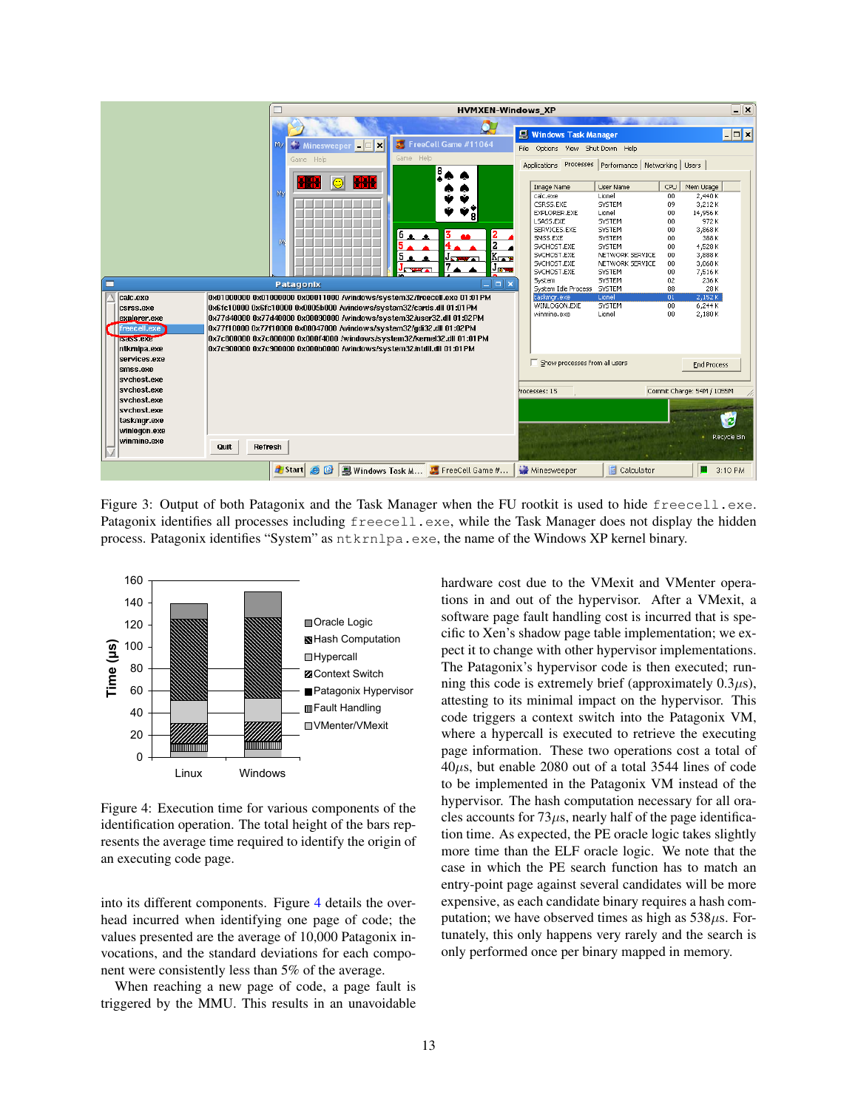

<span id="page-12-0"></span>Figure 3: Output of both Patagonix and the Task Manager when the FU rootkit is used to hide freecell.exe. Patagonix identifies all processes including freecell.exe, while the Task Manager does not display the hidden process. Patagonix identifies "System" as ntkrnlpa.exe, the name of the Windows XP kernel binary.



<span id="page-12-1"></span>Figure 4: Execution time for various components of the identification operation. The total height of the bars represents the average time required to identify the origin of an executing code page.

into its different components. Figure [4](#page-12-1) details the overhead incurred when identifying one page of code; the values presented are the average of 10,000 Patagonix invocations, and the standard deviations for each component were consistently less than 5% of the average.

When reaching a new page of code, a page fault is triggered by the MMU. This results in an unavoidable hardware cost due to the VMexit and VMenter operations in and out of the hypervisor. After a VMexit, a software page fault handling cost is incurred that is specific to Xen's shadow page table implementation; we expect it to change with other hypervisor implementations. The Patagonix's hypervisor code is then executed; running this code is extremely brief (approximately  $0.3\mu s$ ), attesting to its minimal impact on the hypervisor. This code triggers a context switch into the Patagonix VM, where a hypercall is executed to retrieve the executing page information. These two operations cost a total of 40µs, but enable 2080 out of a total 3544 lines of code to be implemented in the Patagonix VM instead of the hypervisor. The hash computation necessary for all oracles accounts for  $73\mu s$ , nearly half of the page identification time. As expected, the PE oracle logic takes slightly more time than the ELF oracle logic. We note that the case in which the PE search function has to match an entry-point page against several candidates will be more expensive, as each candidate binary requires a hash computation; we have observed times as high as  $538\mu s$ . Fortunately, this only happens very rarely and the search is only performed once per binary mapped in memory.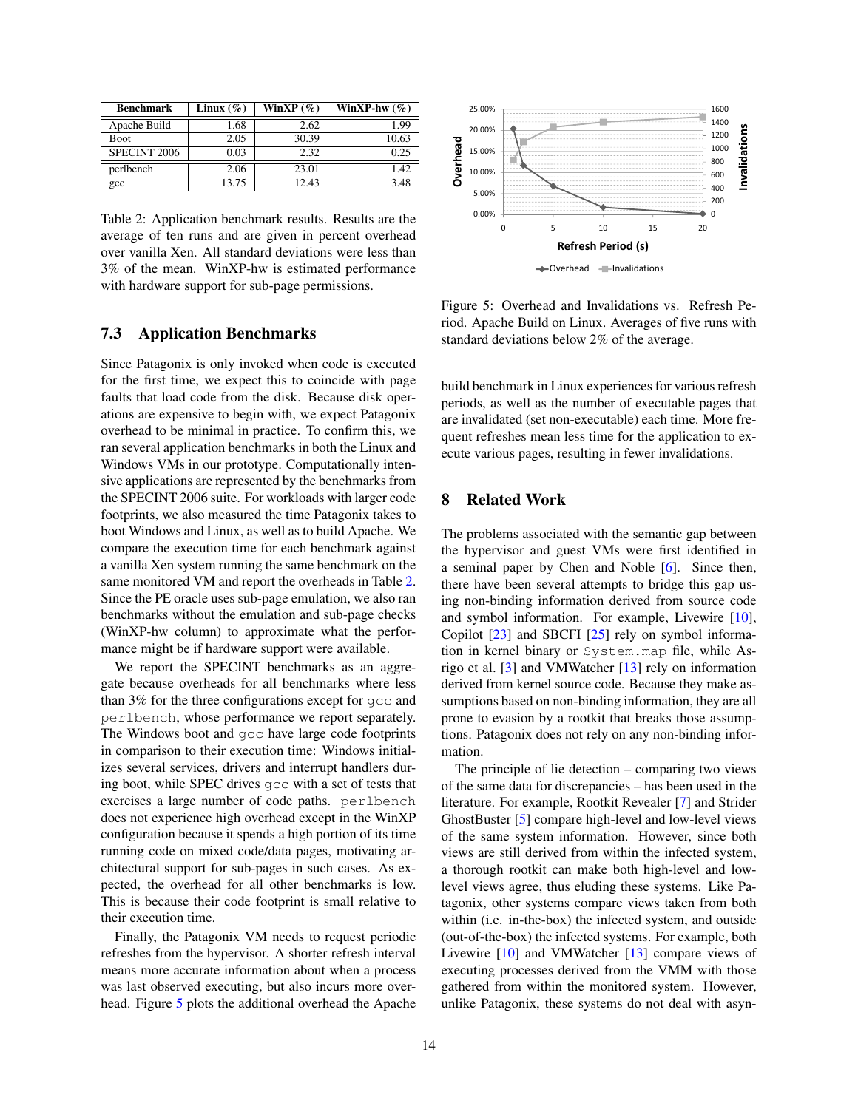| <b>Benchmark</b> | Linux $(\% )$ | WinXP $(\%)$ | WinXP-hw $(\%)$ |
|------------------|---------------|--------------|-----------------|
| Apache Build     | 1.68          | 2.62         | 1.99            |
| <b>Boot</b>      | 2.05          | 30.39        | 10.63           |
| SPECINT 2006     | 0.03          | 2.32         | 0.25            |
| perlbench        | 2.06          | 23.01        | 1.42            |
| $_{\rm gcc}$     | 13.75         | 12.43        | 3.48            |

<span id="page-13-1"></span>Table 2: Application benchmark results. Results are the average of ten runs and are given in percent overhead over vanilla Xen. All standard deviations were less than 3% of the mean. WinXP-hw is estimated performance with hardware support for sub-page permissions.

### 7.3 Application Benchmarks

Since Patagonix is only invoked when code is executed for the first time, we expect this to coincide with page faults that load code from the disk. Because disk operations are expensive to begin with, we expect Patagonix overhead to be minimal in practice. To confirm this, we ran several application benchmarks in both the Linux and Windows VMs in our prototype. Computationally intensive applications are represented by the benchmarks from the SPECINT 2006 suite. For workloads with larger code footprints, we also measured the time Patagonix takes to boot Windows and Linux, as well as to build Apache. We compare the execution time for each benchmark against a vanilla Xen system running the same benchmark on the same monitored VM and report the overheads in Table [2.](#page-13-1) Since the PE oracle uses sub-page emulation, we also ran benchmarks without the emulation and sub-page checks (WinXP-hw column) to approximate what the performance might be if hardware support were available.

We report the SPECINT benchmarks as an aggregate because overheads for all benchmarks where less than 3% for the three configurations except for gcc and perlbench, whose performance we report separately. The Windows boot and gcc have large code footprints in comparison to their execution time: Windows initializes several services, drivers and interrupt handlers during boot, while SPEC drives gcc with a set of tests that exercises a large number of code paths. perlbench does not experience high overhead except in the WinXP configuration because it spends a high portion of its time running code on mixed code/data pages, motivating architectural support for sub-pages in such cases. As expected, the overhead for all other benchmarks is low. This is because their code footprint is small relative to their execution time.

Finally, the Patagonix VM needs to request periodic refreshes from the hypervisor. A shorter refresh interval means more accurate information about when a process was last observed executing, but also incurs more overhead. Figure [5](#page-13-2) plots the additional overhead the Apache



<span id="page-13-2"></span>Figure 5: Overhead and Invalidations vs. Refresh Period. Apache Build on Linux. Averages of five runs with standard deviations below 2% of the average.

build benchmark in Linux experiences for various refresh periods, as well as the number of executable pages that are invalidated (set non-executable) each time. More frequent refreshes mean less time for the application to execute various pages, resulting in fewer invalidations.

## <span id="page-13-0"></span>8 Related Work

The problems associated with the semantic gap between the hypervisor and guest VMs were first identified in a seminal paper by Chen and Noble [\[6\]](#page-0-0). Since then, there have been several attempts to bridge this gap using non-binding information derived from source code and symbol information. For example, Livewire [\[10\]](#page-0-0), Copilot [\[23\]](#page-0-0) and SBCFI [\[25\]](#page-0-0) rely on symbol information in kernel binary or System.map file, while Asrigo et al. [\[3\]](#page-0-0) and VMWatcher [\[13\]](#page-0-0) rely on information derived from kernel source code. Because they make assumptions based on non-binding information, they are all prone to evasion by a rootkit that breaks those assumptions. Patagonix does not rely on any non-binding information.

The principle of lie detection – comparing two views of the same data for discrepancies – has been used in the literature. For example, Rootkit Revealer [\[7\]](#page-0-0) and Strider GhostBuster [\[5\]](#page-0-0) compare high-level and low-level views of the same system information. However, since both views are still derived from within the infected system, a thorough rootkit can make both high-level and lowlevel views agree, thus eluding these systems. Like Patagonix, other systems compare views taken from both within (i.e. in-the-box) the infected system, and outside (out-of-the-box) the infected systems. For example, both Livewire [\[10\]](#page-0-0) and VMWatcher [\[13\]](#page-0-0) compare views of executing processes derived from the VMM with those gathered from within the monitored system. However, unlike Patagonix, these systems do not deal with asyn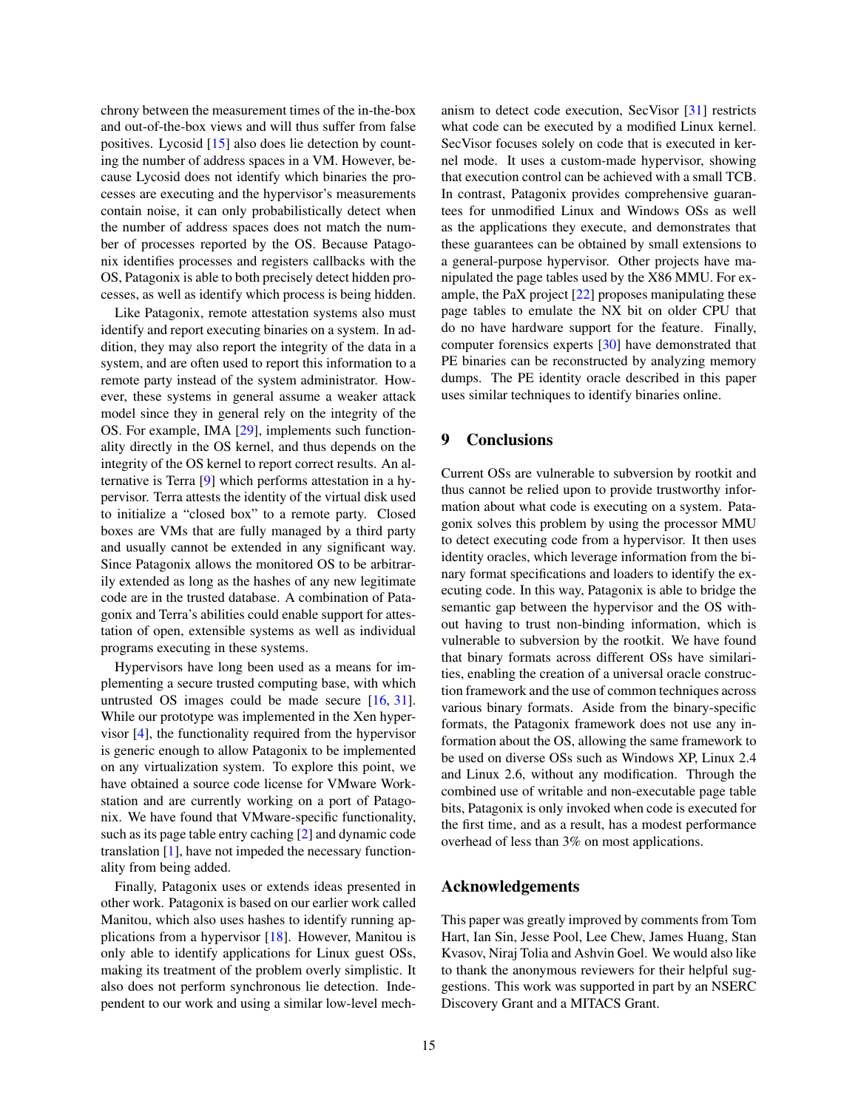chrony between the measurement times of the in-the-box and out-of-the-box views and will thus suffer from false positives. Lycosid [\[15\]](#page-0-0) also does lie detection by counting the number of address spaces in a VM. However, because Lycosid does not identify which binaries the processes are executing and the hypervisor's measurements contain noise, it can only probabilistically detect when the number of address spaces does not match the number of processes reported by the OS. Because Patagonix identifies processes and registers callbacks with the OS, Patagonix is able to both precisely detect hidden processes, as well as identify which process is being hidden.

Like Patagonix, remote attestation systems also must identify and report executing binaries on a system. In addition, they may also report the integrity of the data in a system, and are often used to report this information to a remote party instead of the system administrator. However, these systems in general assume a weaker attack model since they in general rely on the integrity of the OS. For example, IMA [\[29\]](#page-0-0), implements such functionality directly in the OS kernel, and thus depends on the integrity of the OS kernel to report correct results. An alternative is Terra [\[9\]](#page-0-0) which performs attestation in a hypervisor. Terra attests the identity of the virtual disk used to initialize a "closed box" to a remote party. Closed boxes are VMs that are fully managed by a third party and usually cannot be extended in any significant way. Since Patagonix allows the monitored OS to be arbitrarily extended as long as the hashes of any new legitimate code are in the trusted database. A combination of Patagonix and Terra's abilities could enable support for attestation of open, extensible systems as well as individual programs executing in these systems.

Hypervisors have long been used as a means for implementing a secure trusted computing base, with which untrusted OS images could be made secure [\[16,](#page-0-0) [31\]](#page-0-0). While our prototype was implemented in the Xen hypervisor [\[4\]](#page-0-0), the functionality required from the hypervisor is generic enough to allow Patagonix to be implemented on any virtualization system. To explore this point, we have obtained a source code license for VMware Workstation and are currently working on a port of Patagonix. We have found that VMware-specific functionality, such as its page table entry caching [\[2\]](#page-0-0) and dynamic code translation [\[1\]](#page-0-0), have not impeded the necessary functionality from being added.

Finally, Patagonix uses or extends ideas presented in other work. Patagonix is based on our earlier work called Manitou, which also uses hashes to identify running applications from a hypervisor [\[18\]](#page-0-0). However, Manitou is only able to identify applications for Linux guest OSs, making its treatment of the problem overly simplistic. It also does not perform synchronous lie detection. Independent to our work and using a similar low-level mechanism to detect code execution, SecVisor [\[31\]](#page-0-0) restricts what code can be executed by a modified Linux kernel. SecVisor focuses solely on code that is executed in kernel mode. It uses a custom-made hypervisor, showing that execution control can be achieved with a small TCB. In contrast, Patagonix provides comprehensive guarantees for unmodified Linux and Windows OSs as well as the applications they execute, and demonstrates that these guarantees can be obtained by small extensions to a general-purpose hypervisor. Other projects have manipulated the page tables used by the X86 MMU. For example, the PaX project [\[22\]](#page-0-0) proposes manipulating these page tables to emulate the NX bit on older CPU that do no have hardware support for the feature. Finally, computer forensics experts [\[30\]](#page-0-0) have demonstrated that PE binaries can be reconstructed by analyzing memory dumps. The PE identity oracle described in this paper uses similar techniques to identify binaries online.

#### <span id="page-14-0"></span>9 Conclusions

Current OSs are vulnerable to subversion by rootkit and thus cannot be relied upon to provide trustworthy information about what code is executing on a system. Patagonix solves this problem by using the processor MMU to detect executing code from a hypervisor. It then uses identity oracles, which leverage information from the binary format specifications and loaders to identify the executing code. In this way, Patagonix is able to bridge the semantic gap between the hypervisor and the OS without having to trust non-binding information, which is vulnerable to subversion by the rootkit. We have found that binary formats across different OSs have similarities, enabling the creation of a universal oracle construction framework and the use of common techniques across various binary formats. Aside from the binary-specific formats, the Patagonix framework does not use any information about the OS, allowing the same framework to be used on diverse OSs such as Windows XP, Linux 2.4 and Linux 2.6, without any modification. Through the combined use of writable and non-executable page table bits, Patagonix is only invoked when code is executed for the first time, and as a result, has a modest performance overhead of less than 3% on most applications.

#### Acknowledgements

This paper was greatly improved by comments from Tom Hart, Ian Sin, Jesse Pool, Lee Chew, James Huang, Stan Kvasov, Niraj Tolia and Ashvin Goel. We would also like to thank the anonymous reviewers for their helpful suggestions. This work was supported in part by an NSERC Discovery Grant and a MITACS Grant.